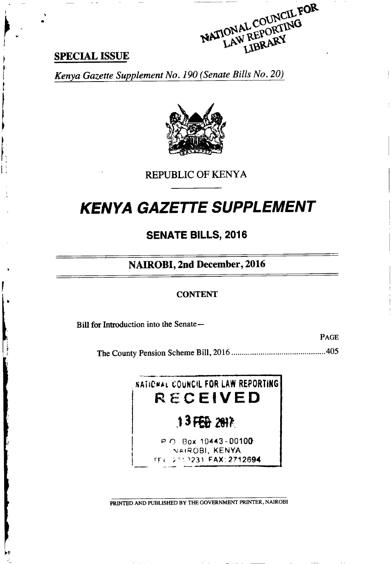NATIONAL COUNCIL FOR

#### **SPECIAL ISSUE**

Kenya Gazette Supplement No. 190 (Senate Bills No. 20)



**REPUBLIC OF KENYA** 

## **KENYA GAZETTE SUPPLEMENT**

**SENATE BILLS, 2016** 

**NAIROBI, 2nd December, 2016** 

#### **CONTENT**

Bill for Introduction into the Senate-

**PAGE** 

# **NATIONAL COUNCIL FOR LAW REPORTING** RECEIVED

## 13 FEB 2017

P O Box 10443-00100 **NAIROBI, KENYA** 2317231 FAX: 2712694

PRINTED AND PUBLISHED BY THE GOVERNMENT PRINTER, NAIROBI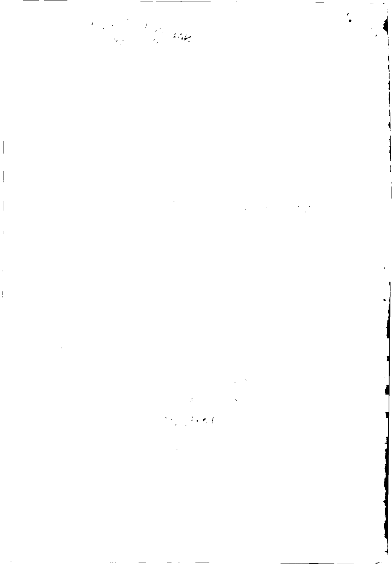

 $\label{eq:2.1} \widetilde{\mathcal{F}}_{\mathcal{F}}(x,y)=\frac{1}{\sqrt{2\pi\kappa}}\sum_{i=1}^{\infty}\frac{1}{\sqrt{2\pi\kappa}}\sum_{i=1}^{\infty}\frac{1}{\sqrt{2\pi\kappa}}\sum_{i=1}^{\infty}\frac{1}{\sqrt{2\pi\kappa}}\sum_{i=1}^{\infty}\frac{1}{\sqrt{2\pi\kappa}}\sum_{i=1}^{\infty}\frac{1}{\sqrt{2\pi\kappa}}\sum_{i=1}^{\infty}\frac{1}{\sqrt{2\pi\kappa}}\sum_{i=1}^{\infty}\frac{1}{\sqrt{$  $\mathcal{O}_{\mathcal{L}^{\text{c}}(\mathbb{R}^2)}$  . And if  $\label{eq:2.1} \frac{1}{\sqrt{2\pi}}\int_{0}^{\infty}\frac{1}{\sqrt{2\pi}}\left(\frac{1}{\sqrt{2\pi}}\right)^{2\alpha} \frac{1}{\sqrt{2\pi}}\int_{0}^{\infty}\frac{1}{\sqrt{2\pi}}\frac{1}{\sqrt{2\pi}}\frac{1}{\sqrt{2\pi}}\frac{1}{\sqrt{2\pi}}\frac{1}{\sqrt{2\pi}}\frac{1}{\sqrt{2\pi}}\frac{1}{\sqrt{2\pi}}\frac{1}{\sqrt{2\pi}}\frac{1}{\sqrt{2\pi}}\frac{1}{\sqrt{2\pi}}\frac{1}{\sqrt{2\pi}}\frac{$  $\label{eq:2} \frac{1}{\sqrt{2}}\left(\frac{1}{\sqrt{2}}\right)^{2} \left(\frac{1}{\sqrt{2}}\right)^{2} \left(\frac{1}{\sqrt{2}}\right)^{2} \left(\frac{1}{\sqrt{2}}\right)^{2} \left(\frac{1}{\sqrt{2}}\right)^{2} \left(\frac{1}{\sqrt{2}}\right)^{2} \left(\frac{1}{\sqrt{2}}\right)^{2} \left(\frac{1}{\sqrt{2}}\right)^{2} \left(\frac{1}{\sqrt{2}}\right)^{2} \left(\frac{1}{\sqrt{2}}\right)^{2} \left(\frac{1}{\sqrt{2}}\right)^{2} \left(\frac{$ 

 $\label{eq:2.1} \frac{1}{\sqrt{2\pi}}\left(\frac{1}{\sqrt{2\pi}}\right)^{1/2}\frac{1}{\sqrt{2\pi}}\left(\frac{1}{\sqrt{2\pi}}\right)^{1/2}\frac{1}{\sqrt{2\pi}}\left(\frac{1}{\sqrt{2\pi}}\right)^{1/2}.$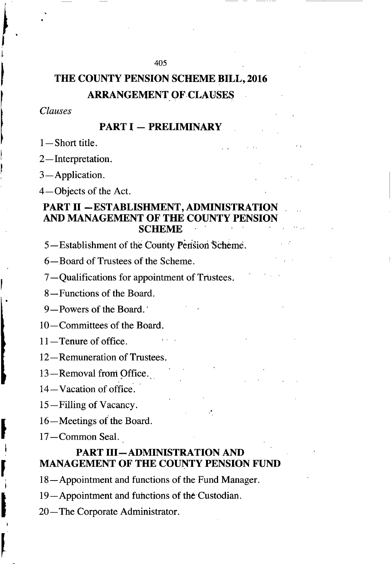### THE COUNTY PENSION SCHEME BILL, 2016 ARRANGEMENT OF CLAUSES

405

#### Clauses

I I i

l

I

t

l

I i

I

t

#### PART I - PRELIMINARY

 $1$ -Short title.

2-Interpretation.

3-Application.

4-Objects of the Act.

#### PART II - ESTABLISHMENT, ADMINISTRATION AND MANAGEMENT OF THE COUNTY PENSION **SCHEME**

5-Establishment of the County Pension Scheme.

6-Board of Trustees of the Scheme.

7—Qualifications for appointment of Trustees.

8-Functions of the Board.

9-Powers of the Board.

lO-Committees of the Board.

 $11 -$ Tenure of office.

12-Remuneration of Trustees.

13-Removal from Office.

14-Vacation of office.

15-Filling of Vacancy.

16-Meetings of the Board.

l7-Common Seal.

#### PART III-ADMINISTRATION AND MANAGEMENT OF THE COUNTY PENSION FUND

18-Appointment and functions of the Fund Manager.

19—Appointment and functions of the Custodian.

20-The Corporate Administrator.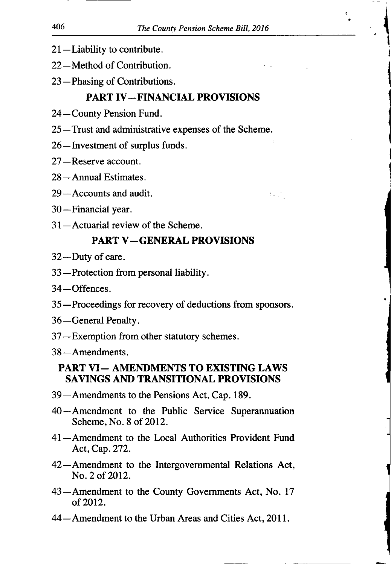**\** I I

I

I

- $21 -$ Liability to contribute.
- 22-Method of Contribution.
- <sup>23</sup>-Phasing of Contributions.

#### PART IV-FINANCIAL PROVISIONS

24 – County Pension Fund.

- <sup>25</sup>-Trust and administrative expenses of the Scheme.
- 26-Investment of surplus funds.
- 27-Reserve account.
- 28-Annual Estimates.
- $29 -$ Accounts and audit.
- 30-Financial year.
- 31-Actuarial review of the Scheme.

#### **PART V-GENERAL PROVISIONS**

- 32-Duty of care.
- <sup>33</sup>-Protection from personal liability.
- 34-Offences.
- 35-Proceedings for recovery of deductions from sponsors.
- 36-General Penalty.
- 37-Exemption from other statutory schemes.
- 38-Amendments.

#### PART VI- AMENDMENTS TO EXISTING LAWS SAVINGS AND TRANSITIONAL PROVISIONS

- 39-Amendments to the Pensions Act, Cap. 189.
- 40-Amendment to the Public Service Superannuation Scheme, No. 8 of 2012.
- 4l-Amendment to the Local Authorities Provident Fund Act,Cap.272.
- 42-Amendment to the Intergovernmental Relations Act, No.2 of 2012.
- 43-Amendment to the County Governments Act, No. 17 of 2012.
- 44- Amendment to the Urban Areas and Cities Act, 2011.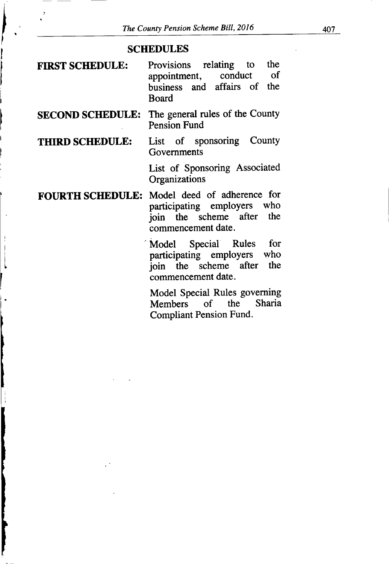#### SCHEDULES

- FIRST SCHEDULE: Provisions relating to the<br>appointment, conduct of appointment, conduct of<br>husiness and affairs of the business and affairs of Board
- SECOND SCHEDULE: The general rules of the County Pension Fund

#### THIRD SCHEDULE: List of sponsoring County Governments

List of Sponsoring Associated **Organizations** 

### FOURTH SCHEDULE: Model deed of adherence for

II

- participating employers who<br>ioin the scheme after the join the scheme after commencement date.
	- 'Model Special Rules for participating employers who join the scheme after the conmencement date.

Model Special Rules governing Members of the Sharia Compliant Pension Fund.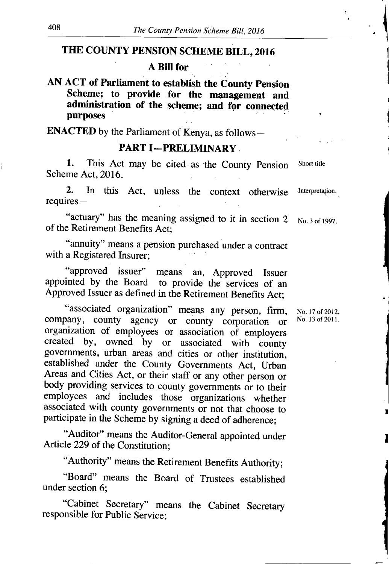#### THE COUNTY PENSION SCHEME BILL, 2016

#### A Bill for

AN ACT of Parliament to establish the County Pension Scheme; to provide for the management and administration of the scheme; and for connected purposes : and the seneme, and the connected

ENACTED by the Parliament of Kenya, as follows-

#### PART I-PRELIMINARY

1. This Act may be cited as the County Pension Scheme Act, 2016. Short title

2. In this Act, unless the confext otherwise requires-

"actuary" has the meaning assigned to it in section 2 of the Retirement Benefits Act; No. 3 of 1997.

"annuity" means a pension purchased under a contract with a Registered Insurer;

"approved issuer" means an, Approved Issuer appointed by the Board to provide the services of an Approved Issuer as defined in the Retirement Benefits Act;

"associated organization" means any person, firm, company, county agency or county corporation or organization of employees or association of employers created by, owned by or associated with county governments, urban areas and cities or other institution, established under the County Governments Act, Urban Areas and Cities Act, or their staff or any other person or body providing services to county governments or to their employees and includes those organizations whether associated with county governments or not that choose to participate in the Scheme by signing a deed of adherence;

"Auditor" means the Auditor-General appointed under Article 229 of the Constitution;

"Authority" means the Retirement Benefits Authority;

"Board" means the Board of Trustees established under section 6;

"Cabinet Secretary" means the Cabinet Secretary responsible for Public Service;

No.17of2012. No. 13 of 2011. i

Interpretation,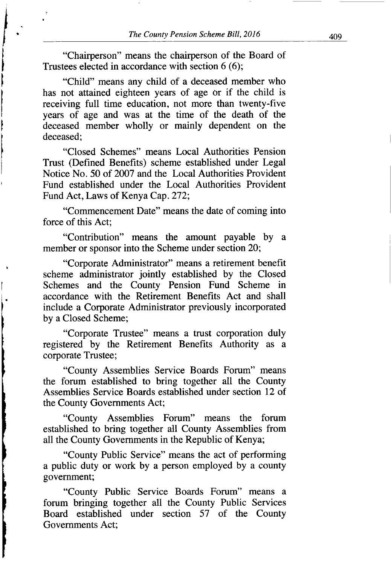"Chairperson" means the chairperson of the Board of Trustees elected in accordance with section 6 (6);

"Child" means any child of a deceased member who has not attained eighteen years of age or if the child is receiving full time education, not more than twenty-five years of age and was at the time of the death of the deceased member wholly or mainly dependent on the deceased;

"Closed Schemes" means Local Authorities Pension Trust (Defined Benefits) scheme established under Legal Notice No. 50 of 2007 and the Local Authorities Provident Fund established under the Local Authorities Provident Fund Act, Laws of Kenya Cap.272;

"Commencement Date" means the date of coming into force of this Act;

"Contribution" means the amount payable by a member or sponsor into the Scheme under section 20;

"Corporate Administrator" means a retirement benefit scheme administrator jointly established by the Closed Schemes and the County Pension Fund Scheme in accordance with the Retirement Benefits Act and shall include a Corporate Administrator previously incorporated by a Closed Scheme;

"Corporate Trustee" means a trust corporation duly registered by the Retirement Benefits Authority as a corporate Trustee;

"County Assemblies Service Boards Forum" means the forum established to bring together all the County Assemblies Service Boards established under section 12 of the County Governments Act;

"County Assemblies Forum" means the forum established to bring together all County Assemblies from all the County Governments in the Republic of Kenya;

"County Public Service" means the act of performing a public duty or work by a person employed by a county government;

"County Public Service Boards Forum" mgans a forum bringing together all the County Public Services Board established under section 57 of the County Govemments Act;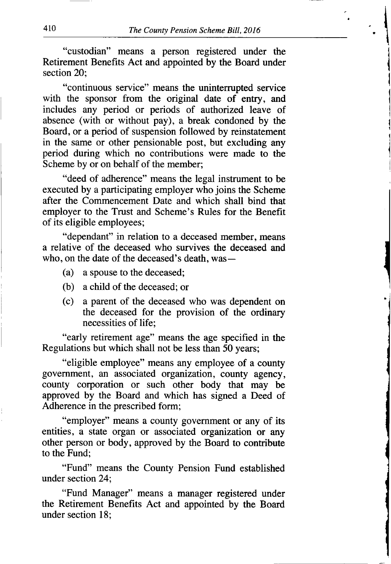{ 'l

I

"custodian" means a person registered under the Retirement Benefits Act and appointed by the Board under section 20;

"continuous service" means the uninterrupted service with the sponsor from the original date of entry, and includes any period or periods of authorized leave of absence (with or without pay), a break condoned by the Board, or a period of suspension followed by reinstatement in the same or other pensionable post, but excluding any period during which no contributions were made to the Scheme by or on behalf of the member;

"deed of adherence" means the legal instrument to be executed by a participating employer who joins the Scheme after the Commencement Date and which shall bind that employer to the Trust and Scheme's Rules for the Benefit of its eligible employees;

"dependant" in relation to a deceased member, means a relative of the deceased who survives the deceased and who, on the date of the deceased's death, was-

- (a) a spouse to the deceased;
- (b) a child of the deceased; or
- (c) a parent of the deceased who was dependent on the deceased for the provision of the ordinary necessities of life;

"early retirement age" means the age specified in the Regulations but which shall not be less than 50 years;

"eligible employee" means any employee of a county government, an associated organization, county agency, county corporation or such other body that may be approved by the Board and which has signed a Deed of Adherence in the prescribed form;

"employer" means a county government or any of its entities, a state organ or associated organization or any other person or body, approved by the Board to contribute to the Fund;

"Fund" means the County Pension Fund established under section 24;

"Fund Manager" means a manager registered under the Retirement Benefits Act and appointed by the Board under section 18;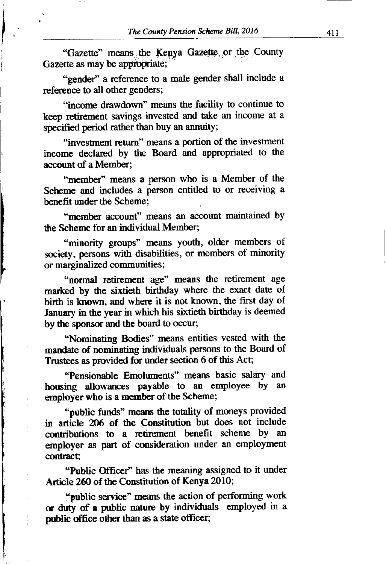"Gazette" means the Kenya Gazette or the County Gazette as may be appropriate;

"gender" a reference to a male gender shall include a reference to all other genders;

"income drawdown" means the facility to continue to keep retirement savings invested and take an income at <sup>a</sup> specified period rather than buy an annuity;

"investment return" means a portion of the investment income declared by the Board and appropriated to the account of a Member;

"member" means a person who is a Member of the Scheme and includes a person entitled to or receiving a benefit under the Scheme;

"member account" means an account maintained by the Scheme for an individual Member;

"minority groups" means youth, older members of society, persons with disabilities, or members of minority or marginalized communities ;

"normal retirement age" means the retirement age marked by the sixtieth birthday where the exact date of birth is known, and where it is not known, the first day of January in the year in which his sixtieth birthday is deemed by the sponsor and the board to occur;

"Nominating Bodies" means entities vested with the mandate of nominating individuals persons to the Board of Trustees as provided for under section 6 of this Act;

"Pensionable Emoluments" means basic salary and housing allowances payable to an employee by an employer who is a member of the Scheme;

"public funds" means the totality of moneys provided in article 2O6 of the Consitution but does not include contributions to a retirement benefit scheme by an employer as part of consideration under an employment contract:

\*Public Officet''has the meaning assigned to it under Article 260 of the Constitution of Kenya 2010;

"public service" means the action of performing work or duty of a public nature by individuals employed in a public office other than as a state officer;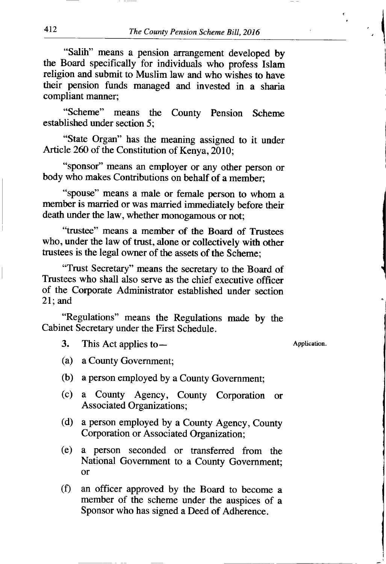"Salih" means a pension arrangement developed by the Board specifically for individuals who profess Islam religion and submit to Muslim law and who wishes to have their pension funds managed and invested in a sharia compliant manner;

"Scheme" means the County Pension Scheme established under section 5;

"State Organ" has the meaning assigned to it under Article 260 of the Constitution of Kenya, 2010;

"sponsor" means an employer or any other person or body who makes Contributions on behalf of a member;

"spouse" means a male or female person to whom a member is married or was married immediately before their death under the law, whether monogamous or not;

"trustee" means a member of the Board of Trustees who, under the law of trust, alone or collectively with other trustees is the legal owner of the assets of the Scheme;

"Trust Secretary" means the secretary to the Board of Trustees who shall also serve as the chief executive officer of the Corporate Administrator established under section 2l; and

"Regulations" means the Regulations made by the Cabinet Secretary under the First Schedule.

3. This Act applies to — Application.

t

- (a) a County Government;
- (b) a person employed by a County Government;
- (c) a County Agency, County Corporation or Associated Organizations;
- (d) a person employed by a County Agency, County Corporation or Associated Organization;
- (e) a person seconded or transferred from the National Government to a County Government; or
- (f) an officer approved by the Board to become <sup>a</sup> member of the scheme under the auspices of <sup>a</sup> Sponsor who has signed a Deed of Adherence.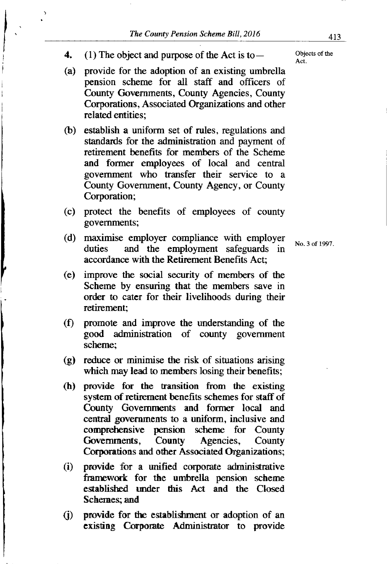- 4. (1) The object and purpose of the Act is to-
- (a) provide for the adoption of an existing umbrella pension scherne for all staff and officers of Counfy Governments, County Agencies, County Corporations, Associated Organizations and other related entities;
- O) establish a uniform set of rules, regulations and standards for the administration and payment of retirement benefits for members of the Scheme and former employees of local and central govemrent who transfer their service to <sup>a</sup> County Government, County Agency, or County Corporation;
- (c) protect the benefits of employees of county governments;
- (d) maximise ernployer compliance with employer  $\frac{1}{2}$  and the employment safeguards in  $\frac{1}{2}$  No. 3 of 1997 accordance with the Retirement Benefits Act;
- (e) improve the social security of members of the Scheme by ensuring that the members save in order to catcr for their livelihoods during their retirement:
- $(f)$ promote and improve the understanding of the good adminisftation of county government scheme;
- (g) reduce or minimise the risk of situations arising which may lead to members losing their benefits;
- (h) provide for the transition from the existing system of retirement benefits schemes for staff of County Governments and former local and central governments to a uniforrn, inclusive and comprehensive pension scheme for County Governments, County Agencies, County Corporations and other Associated Organizations;
- provide for a unified corporate adminisrative framework for the umbrella pension scheme established under this Act and the Closed Schemes: and (i)
- provide for the establishment or adoption of an existing Corporate Administrator to provide  $(i)$

Objects of the Act.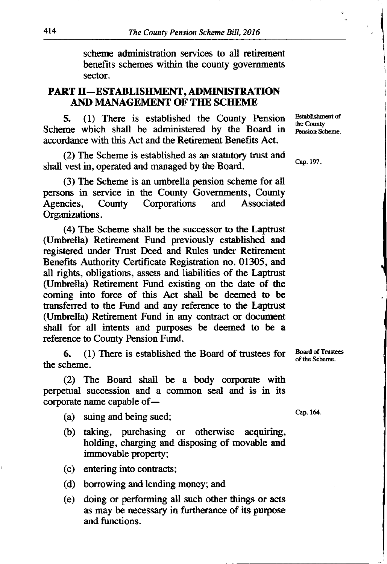scheme administration services to all retirement benefits schemes within the county governments sector.

#### PART II-ESTABLISHMENT, ADMINISTRATION AND MANAGEMENT OF THE SCHEME

5. (1) There is established the County Pension Establishment of the County Scheme which shall be administered by the Board in  $\frac{\text{the } \text{Couity}}{\text{Pension Scheme}}$ . accordance with this Act and the Retirement Benefits Act.

(2) The Scheme is established as an statutory trust and shall vest in, operated and managed by the Board.  $\frac{Cap. 197}{cap. 197}$ 

(3) The Scheme is an umbrella pension scheme for all persons in service in the County Governments, County Agencies, County Corporations and Associated Organizations.

(4) The Scheme shall be the successor to the Laptrust (Umbrella) Retirement Fund previously established and registered under Trust Deed and Rules under Retirement Benefrts Authority Certificate Registration no. 013O5, and all rights, obligations, assets and liabilities of the Laprust (Umbrella) Retirement Fund existing on the date of the coming into force of this Act shall be deemed to be transferred to the Fund and any reference to the Laptrust (Umbrella) Retirement Fund in any contract or document shall for all intents and purposes be deemed to be <sup>a</sup> reference to County Pension Fund.

6. (1) There is established the Board of trustees for the scheme.

(2) The Board shall be a body corporate with perpetual succession and a common seal and is in its corporate name capable of -

- (a) suing and being sued;
- (b) taking, purchasing or otherwise acquiring, holding, charging and disposing of movable and immovable property;
- (c) entering into contracts;
- (d) borrowing and lending money; and
- (e) doing or performing all such other things or acts as may be necessary in firtherance of its purpose and fimctions.

I I I

**Board of Trustees** of the Scheme.

Cap. 164.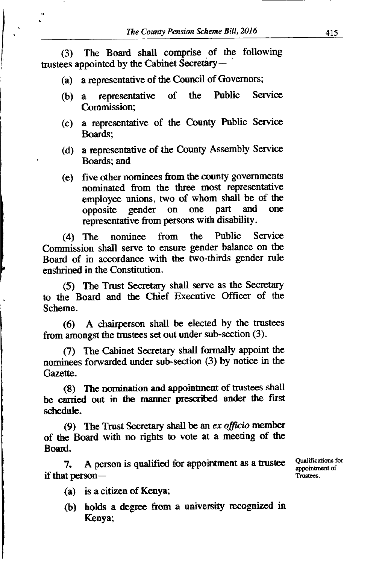(3) The Board shall comprise of the following trustees appointed by the Cabinet Secretary-

- (a) a representative of the Council of Governors;
- (b) a representative of the Public Service Commission;
- (c) a representative of the County Public Service Boards;
- (d) a representative of the County Assembly Service Boards; and
- (e) five other nominees from the county governments nominated from the three most representative employee unions, two of whom shall be of the<br>opposite gender on one part and one opposite gender on one part and representative from persons with disability.

(4) The nominee from the Public Service Commission shall serve to ensure gender balance on the Board of in accordance with the two-thirds gender rule enshrined in the Constitution.

(5) The Trust Secretary shall serve as the Secretary to the Board and the Chief Executive Officer of the Scheme.

(6) A chairperson shall be elected by the trustees from amongst the trustees set out under sub-section  $(3)$ .

(7) The Cabinet Secretary shall formally appoint the nominees forwarded under sub-section (3) by notice in the Gazette.

(8) The nomination and appointment of trustees shall be carried out in the manner prescribed under the first schedule.

(9) The Trust Secretary shall be an ex officio member of the Board with no rights to vote at a meeting of the Board.

7. A person is qualified for appointment as a trustee if that  $person-$  **Qualifications** for appointment of Trustees.

- (a) is a citizen of Kenya;
- (b) holds a degree from a university recognized in Kenya;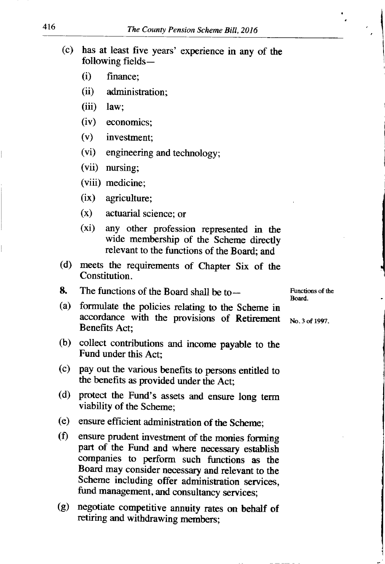- (c) has at least five years' experience in any of the following fields-
	- (i) finance;
	- (ii) administration;
	- (iii) law;
	- (iv) economics;
	- (v) investment;
	- (vi) engineering and technology;
	- (vii) nursing;
	- (viii) medicine;
	- (ix) agriculture;
	- (x) actuarial science; or
	- (xi) any other profession represented in the wide membership of the Scheme directly relevant to the functions of the Board; and
- (d) meets the requirements of Chapter Six of the Constitution.
- 8. The functions of the Board shall be to-
- (a) formulate the policies relating to the Seheme in accordance with the provisions of Retirement Benefits Act;
- (b) collect contributions and income payable to the Fund under this Act;
- (c) pay out the various benefits to persons entitled to the benefits as provided under the Act;
- (d) protect the Fund's assets and ensure long term viability of the Scherne;
- (e) ensure effrcient administration of the Scherne;
- (f) ensure prudent investment of the monies forming part of the Fund and where necessary establish companies to perform such functions as the Board may consider necessary and relevant to the Scheme including offer administration services, fund management, and consultancy services;
- (g) negotiate competitive annuity rates on behalf of retiring and withdrawing mernbers;

Functions of the Board.

I

1

No- 3 of 1997.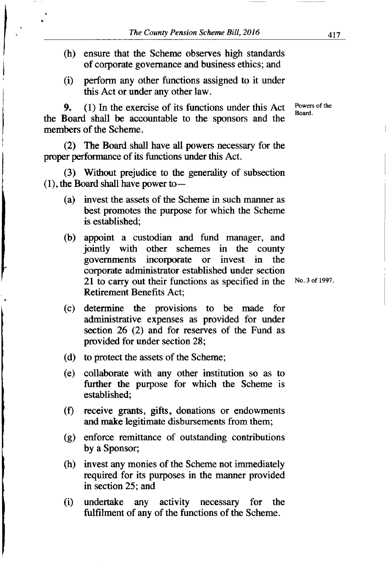- (h) ensure that the Scheme observes high standards of corporate governance and business ethics; and
- (i) perform any other functions assigned to it under this Act or under any other law.

9. (1) In the exercise of its functions under this Act the Board shall be accountable to the sponsors and the members of the Scheme.

(2> The Board shall have all powers necessary for the proper performance of its functions under this Act.

(3) Without prejudice to the generality of subsection  $(1)$ , the Board shall have power to-

- (a) invest the assets of the Scheme in such manner as best promotes the purpose for which the Scheme is established;
- (b) appoint a custodian and fund manager, and jointly with other schemes in the county<br>governments incorporate or invest in the governments incorporate or invest in corporate administrator established under section 2l to carry out their functions as specified in the Retirement Benefits Act;
- (c) deterrnine the provisions to be made for administrative expenses as provided for under section 26 (2) and for reserves of the Fund as provided for under section 28;
- (d) to protect the assets of the Scheme;
- (e) collaborate with any other institution so as to further the purpose for which the Scheme is established;
- (0 receive grants, gifts, donations or endowments and make legitimate disbursements from them;
- (g) enforce remittance of outstanding contributions by a Sponsor;
- (h) invest any monies of the Scheme not immediately required for its purposes in the manner provided in section 25; and
- (i) undertake any activity necessary for the fulfilment of any of the functions of the Scheme.

Powers of the Board.

No.3 of 1997.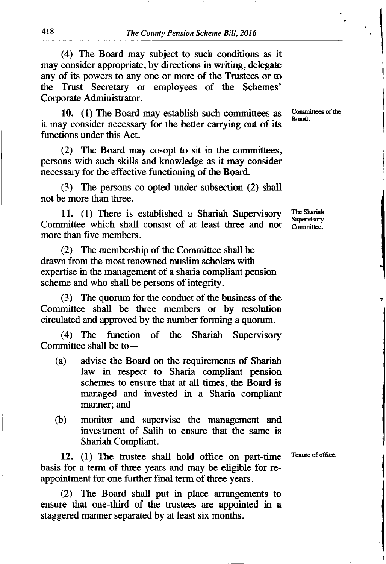(a) The Board may subject to such conditions as it may consider appropriate, by directions in writing, delegate any of its powers to any one or more of the Trustees or to the Trust Secretary or employees of the Schemes' Corporate Administrator.

10. (1) The Board may establish such committees as it may consider necessary for the befier carrying out of its functions under this Act.

(2) The Board may co-opt to sit in the committees, persons with such skills and knowledge as it may consider necessary for the effective functioning of the Board.

(3) The persons co-opted under subsection (2) shall not be more than three.

11. (1) There is established a Shariah Supervisory Committee which shall consist of at least three and not more than five members.

 $(2)$  The membership of the Committee shall be drawn from the most renowned muslim scholars with expertise in the management of a sharia compliant pension scheme and who shall be persons of integrity.

(3) The quorum for the conduct of the business of the Committee shall be three members or by resolution circulated and approved by the number forming a quorum.

(4) The function of the Shariah Supervisory Committee shall be to —

- (a) advise the Board on the requirements of Shariah law in respect to Sharia compliant pension schemes to ensure that at all times, the Board is managed and invested in a Sharia compliant manner; and
- (b) monitor and supervise the management and investrnent of Salih to ensure that the same is Shariah Compliant.

12.  $(1)$  The trustee shall hold office on part-time Tenure of office. basis for a term of three years and may be eligible for reappointment for one further final term of three years.

(2) The Board shall put in place arrangements to ensure that one-third of the trustees are appointed in a staggered manner separated by at least six months.

The Shariah Supervisory Committee.

Committees of the Board.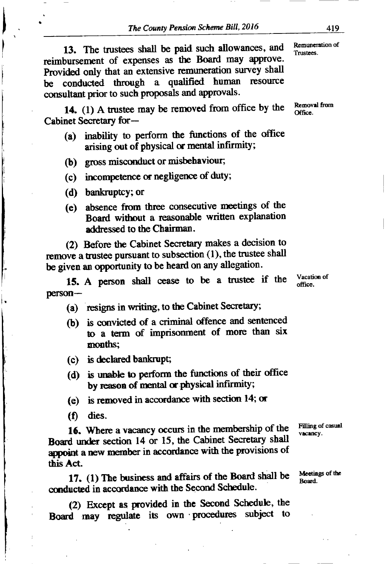13. The trustees shall be paid such allowances, and reimbursement of expenses as the Board may approve. Provided only that an extensive remuneration survey shall be conducted through a qualified human resource consultant prior to such proposals and approvals.

14. (1) A trustee may be removed from office by the Cabinet Secretary for-

- (a) inability to perform the functions of the office arising out of physical or mental infirmity;
- (b) gross misconduct or misbehaviour;
- (c) incompetence or negligence of duty;
- (d) bankruptcy; or

I

I,

(e) absence from three consecutive meetings of the Board wiftout a reasonable written explanation addressed to the Chairman.

(2) Before the Cabinet Secretary makes a decision to remove a trustee pursuant to subsection  $(1)$ , the trustee shall be given an opportunity to be heard on any allegation.

15. A person shall cease to be a trustee if the person-

- (a) resigns in writing, to the Cabinet Secretary;
- (b) is convicted of a criminal offence and sentenced to a term of imprisonment of more than six months;
- $(c)$  is declared bankrupt;
- $(d)$  is unable to perform the functions of their office by reason of mental or physical infirmity;
- (e) is removed in accordance with section  $14$ : or
- $(f)$  dies.

16. Where a vacancy occurs in the membership of the Boad mder section 14 or 15, the Cabinet Secretary shall appoint a new member in accordance with the provisions of this Act.

17. (1) The business and affairs of the Board shall be conducted in accordance with the Second Schedule.

(2) Except as providcd ia thc Second Schedub, the Board may regulate its own procedures subject to

Filling of casual vacancy.

Meetings of the Boed

Vacation of office.

Remuncration of Trustees.

Removal from Office.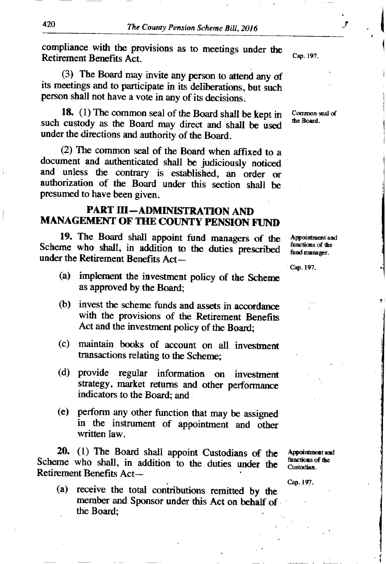compliance with the provisions as to meetings under the **Retirement Benefits Act.** 

(3) The Board may invite any person to attend any of its meetings and to participate in its deliberations, but such person shall not have a vote in any of its decisions.

18. (1) The common seal of the Board shall be kept in such custody as the Board may direct and shall be used under the directions and authority of the Board.

(2) The common seal of the Board when affixed to a document and authenticated shall be judiciously noticed and unless the contrary is established, an order or authorization of the Board under this section shall be presumed to have been given.

#### **PART III-ADMINISTRATION AND MANAGEMENT OF THE COUNTY PENSION FUND**

19. The Board shall appoint fund managers of the Scheme who shall, in addition to the duties prescribed under the Retirement Benefits Act-

- implement the investment policy of the Scheme  $(a)$ as approved by the Board:
- (b) invest the scheme funds and assets in accordance with the provisions of the Retirement Benefits Act and the investment policy of the Board;
- (c) maintain books of account on all investment transactions relating to the Scheme;
- (d) provide regular information on investment strategy, market returns and other performance indicators to the Board; and
- (e) perform any other function that may be assigned in the instrument of appointment and other written law.

20. (1) The Board shall appoint Custodians of the Scheme who shall, in addition to the duties under the Retirement Benefits Act-

(a) receive the total contributions remitted by the member and Sponsor under this Act on behalf of the Board:

Appointment and functions of the Custodian.

Cap. 197.

Appointment and functions of the fund manager.

Cap. 197.

Common seal of the Board.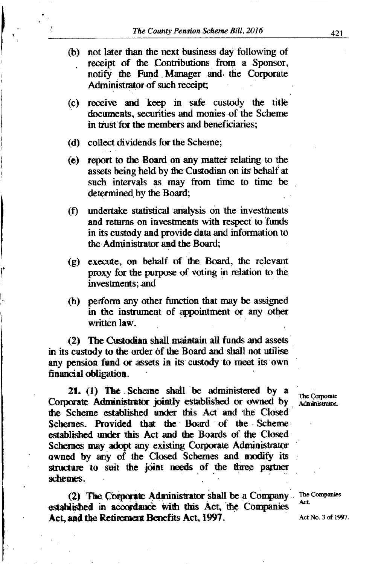- (b) not later than the next business day following of receipt of the Contributions from a Sponsor, notify the Fund Manager and the Corporate Administrator of such receipt;
- (c) receive and keep in safe custody the title documents, securities and monies of the Scheme in trust for the members and beneficiaries:
- (d) collect dividends for the Scheme:
- (e) report to the Board on any matter relating to the assets being held by the Custodian on its behalf at such intervals as may from time to time be determined by the Board;
- undertake statistical analysis on the investments  $(f)$ and returns on investments with respect to funds in its custody and provide data and information to the Administrator and the Board;
- (g) execute, on behalf of the Board, the relevant proxy for the purpose of voting in relation to the investments: and
- (h) perform any other function that may be assigned in the instrument of appointment or any other written law.

(2) The Custodian shall maintain all funds and assets in its custody to the order of the Board and shall not utilise any pension fund or assets in its custody to meet its own financial obligation.

21. (1) The Scheme shall be administered by a Corporate Administrator jointly established or owned by the Scheme established under this Act and the Closed Schemes. Provided that the Board of the Scheme established under this Act and the Boards of the Closed Schemes may adopt any existing Corporate Administrator owned by any of the Closed Schemes and modify its structure to suit the joint needs of the three partner schemes.

(2) The Corporate Administrator shall be a Company established in accordance with this Act, the Companies Act, and the Retirement Benefits Act, 1997.

The Corporate Administrator.

The Companies Act.